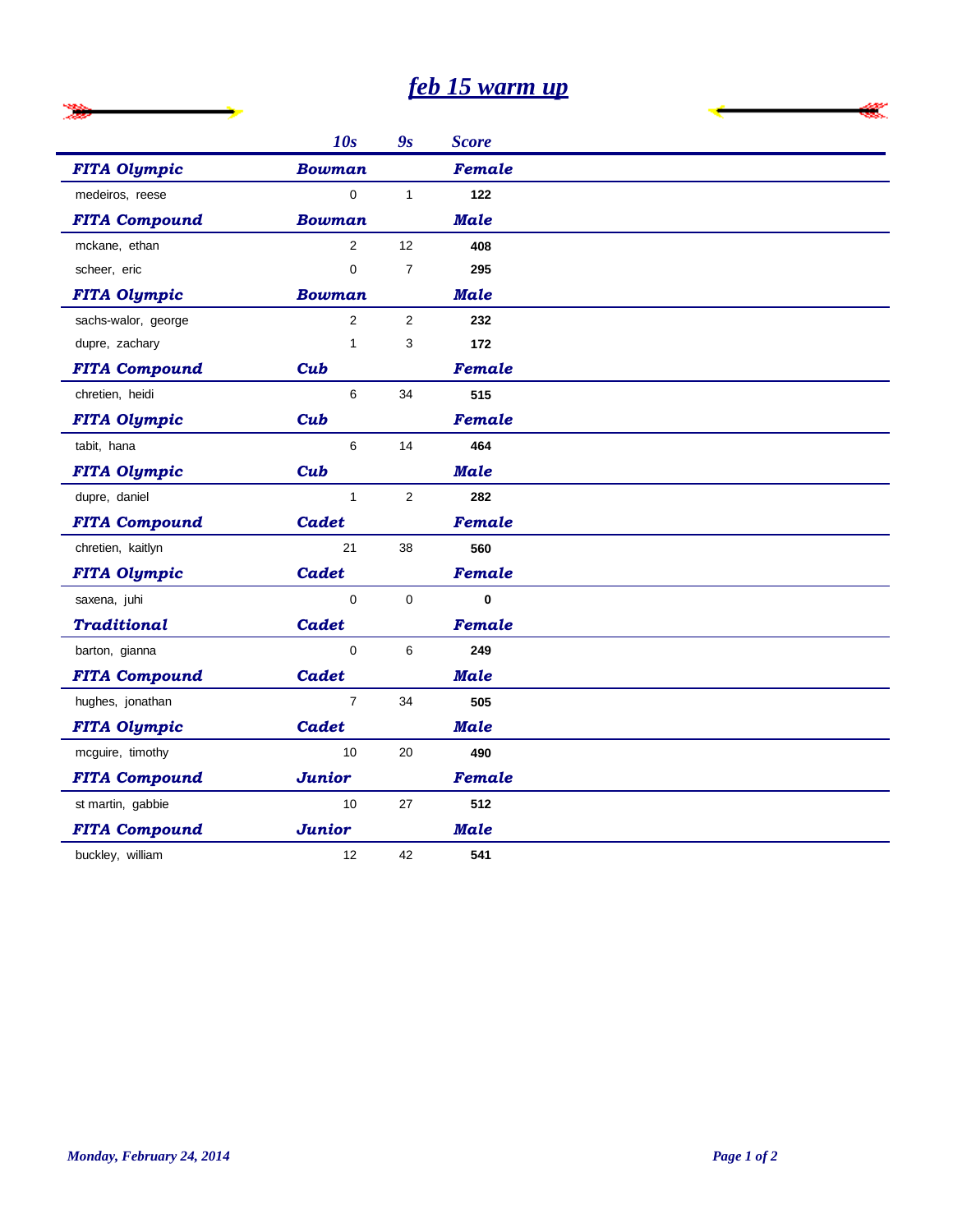## *feb 15 warm up*

|                      | 10s            | 9s             | <b>Score</b>  |
|----------------------|----------------|----------------|---------------|
| <b>FITA Olympic</b>  | <b>Bowman</b>  |                | Female        |
| medeiros, reese      | $\Omega$       | $\mathbf{1}$   | 122           |
| <b>FITA Compound</b> | <b>Bowman</b>  |                | <b>Male</b>   |
| mckane, ethan        | $\overline{2}$ | 12             | 408           |
| scheer, eric         | 0              | $\overline{7}$ | 295           |
| <b>FITA Olympic</b>  | Bowman         |                | <b>Male</b>   |
| sachs-walor, george  | $\overline{2}$ | $\overline{2}$ | 232           |
| dupre, zachary       | 1              | 3              | 172           |
| <b>FITA Compound</b> | Cub            |                | Female        |
| chretien, heidi      | 6              | 34             | 515           |
| <b>FITA Olympic</b>  | Cub            |                | <b>Female</b> |
| tabit, hana          | 6              | 14             | 464           |
| <b>FITA Olympic</b>  | Cub            |                | <b>Male</b>   |
| dupre, daniel        | $\mathbf{1}$   | $\overline{2}$ | 282           |
| <b>FITA Compound</b> | <b>Cadet</b>   |                | <b>Female</b> |
| chretien, kaitlyn    | 21             | 38             | 560           |
| <b>FITA Olympic</b>  | <b>Cadet</b>   |                | Female        |
| saxena, juhi         | $\mathbf 0$    | $\mathbf 0$    | $\mathbf{0}$  |
| <b>Traditional</b>   | <b>Cadet</b>   |                | Female        |
| barton, gianna       | $\Omega$       | 6              | 249           |
| <b>FITA Compound</b> | <b>Cadet</b>   |                | <b>Male</b>   |
| hughes, jonathan     | $\overline{7}$ | 34             | 505           |
| <b>FITA Olympic</b>  | Cadet          |                | <b>Male</b>   |
| mcguire, timothy     | 10             | 20             | 490           |
| <b>FITA Compound</b> | <b>Junior</b>  |                | <b>Female</b> |
| st martin, gabbie    | 10             | 27             | 512           |
| <b>FITA Compound</b> | <b>Junior</b>  |                | <b>Male</b>   |
| buckley, william     | 12             | 42             | 541           |

l,